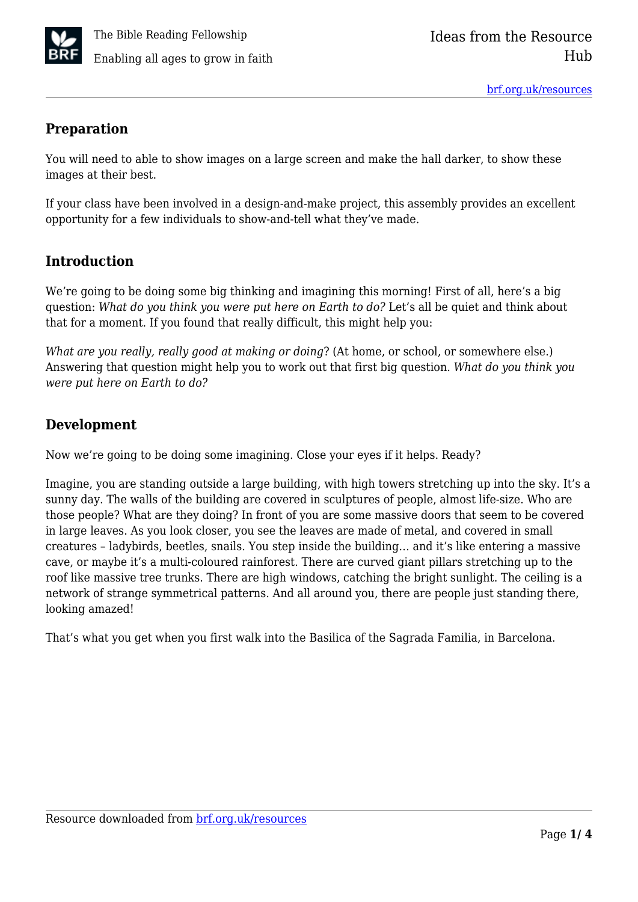

### **Preparation**

You will need to able to show images on a large screen and make the hall darker, to show these images at their best.

If your class have been involved in a design-and-make project, this assembly provides an excellent opportunity for a few individuals to show-and-tell what they've made.

# **Introduction**

We're going to be doing some big thinking and imagining this morning! First of all, here's a big question: *What do you think you were put here on Earth to do?* Let's all be quiet and think about that for a moment. If you found that really difficult, this might help you:

*What are you really, really good at making or doing*? (At home, or school, or somewhere else.) Answering that question might help you to work out that first big question. *What do you think you were put here on Earth to do?*

## **Development**

Now we're going to be doing some imagining. Close your eyes if it helps. Ready?

Imagine, you are standing outside a large building, with high towers stretching up into the sky. It's a sunny day. The walls of the building are covered in sculptures of people, almost life-size. Who are those people? What are they doing? In front of you are some massive doors that seem to be covered in large leaves. As you look closer, you see the leaves are made of metal, and covered in small creatures – ladybirds, beetles, snails. You step inside the building… and it's like entering a massive cave, or maybe it's a multi-coloured rainforest. There are curved giant pillars stretching up to the roof like massive tree trunks. There are high windows, catching the bright sunlight. The ceiling is a network of strange symmetrical patterns. And all around you, there are people just standing there, looking amazed!

That's what you get when you first walk into the Basilica of the Sagrada Familia, in Barcelona.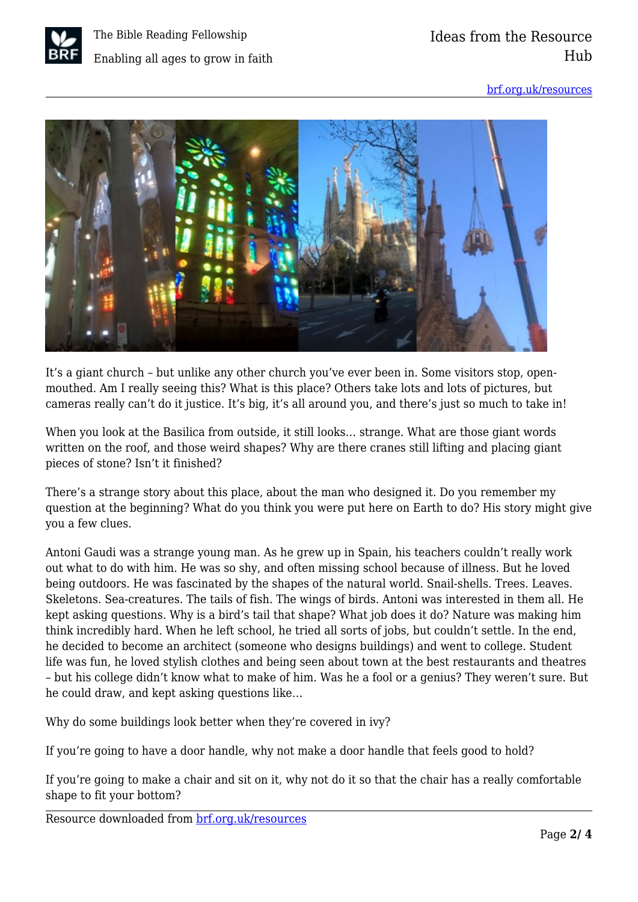

[brf.org.uk/resources](https://brf.org.uk/resources)



It's a giant church – but unlike any other church you've ever been in. Some visitors stop, openmouthed. Am I really seeing this? What is this place? Others take lots and lots of pictures, but cameras really can't do it justice. It's big, it's all around you, and there's just so much to take in!

When you look at the Basilica from outside, it still looks… strange. What are those giant words written on the roof, and those weird shapes? Why are there cranes still lifting and placing giant pieces of stone? Isn't it finished?

There's a strange story about this place, about the man who designed it. Do you remember my question at the beginning? What do you think you were put here on Earth to do? His story might give you a few clues.

Antoni Gaudi was a strange young man. As he grew up in Spain, his teachers couldn't really work out what to do with him. He was so shy, and often missing school because of illness. But he loved being outdoors. He was fascinated by the shapes of the natural world. Snail-shells. Trees. Leaves. Skeletons. Sea-creatures. The tails of fish. The wings of birds. Antoni was interested in them all. He kept asking questions. Why is a bird's tail that shape? What job does it do? Nature was making him think incredibly hard. When he left school, he tried all sorts of jobs, but couldn't settle. In the end, he decided to become an architect (someone who designs buildings) and went to college. Student life was fun, he loved stylish clothes and being seen about town at the best restaurants and theatres – but his college didn't know what to make of him. Was he a fool or a genius? They weren't sure. But he could draw, and kept asking questions like…

Why do some buildings look better when they're covered in ivy?

If you're going to have a door handle, why not make a door handle that feels good to hold?

If you're going to make a chair and sit on it, why not do it so that the chair has a really comfortable shape to fit your bottom?

Resource downloaded from [brf.org.uk/resources](https://brf.org.uk/resources)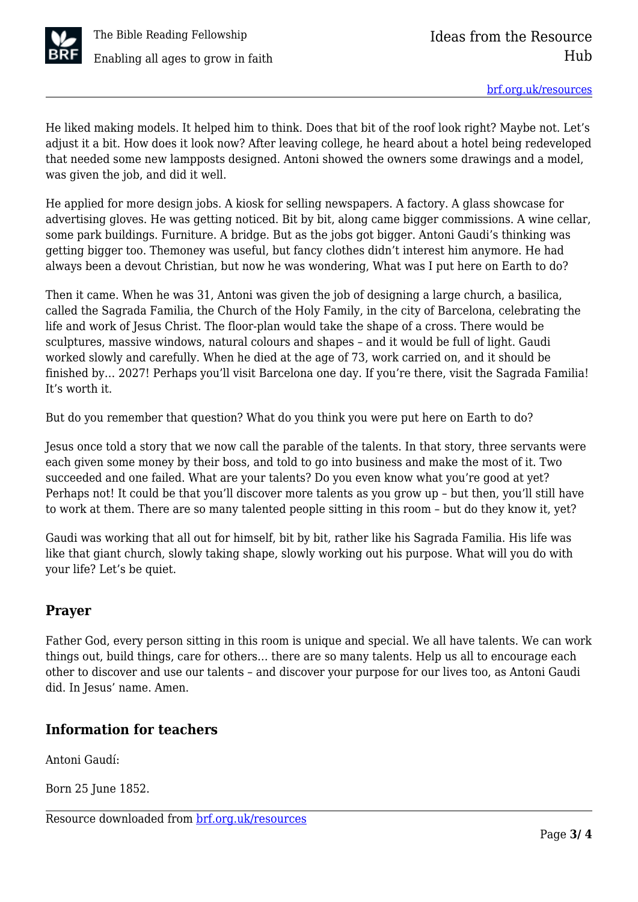

He liked making models. It helped him to think. Does that bit of the roof look right? Maybe not. Let's adjust it a bit. How does it look now? After leaving college, he heard about a hotel being redeveloped that needed some new lampposts designed. Antoni showed the owners some drawings and a model, was given the job, and did it well.

He applied for more design jobs. A kiosk for selling newspapers. A factory. A glass showcase for advertising gloves. He was getting noticed. Bit by bit, along came bigger commissions. A wine cellar, some park buildings. Furniture. A bridge. But as the jobs got bigger. Antoni Gaudi's thinking was getting bigger too. Themoney was useful, but fancy clothes didn't interest him anymore. He had always been a devout Christian, but now he was wondering, What was I put here on Earth to do?

Then it came. When he was 31, Antoni was given the job of designing a large church, a basilica, called the Sagrada Familia, the Church of the Holy Family, in the city of Barcelona, celebrating the life and work of Jesus Christ. The floor-plan would take the shape of a cross. There would be sculptures, massive windows, natural colours and shapes – and it would be full of light. Gaudi worked slowly and carefully. When he died at the age of 73, work carried on, and it should be finished by… 2027! Perhaps you'll visit Barcelona one day. If you're there, visit the Sagrada Familia! It's worth it.

But do you remember that question? What do you think you were put here on Earth to do?

Jesus once told a story that we now call the parable of the talents. In that story, three servants were each given some money by their boss, and told to go into business and make the most of it. Two succeeded and one failed. What are your talents? Do you even know what you're good at yet? Perhaps not! It could be that you'll discover more talents as you grow up – but then, you'll still have to work at them. There are so many talented people sitting in this room – but do they know it, yet?

Gaudi was working that all out for himself, bit by bit, rather like his Sagrada Familia. His life was like that giant church, slowly taking shape, slowly working out his purpose. What will you do with your life? Let's be quiet.

### **Prayer**

Father God, every person sitting in this room is unique and special. We all have talents. We can work things out, build things, care for others… there are so many talents. Help us all to encourage each other to discover and use our talents – and discover your purpose for our lives too, as Antoni Gaudi did. In Jesus' name. Amen.

### **Information for teachers**

Antoni Gaudí:

Born 25 June 1852.